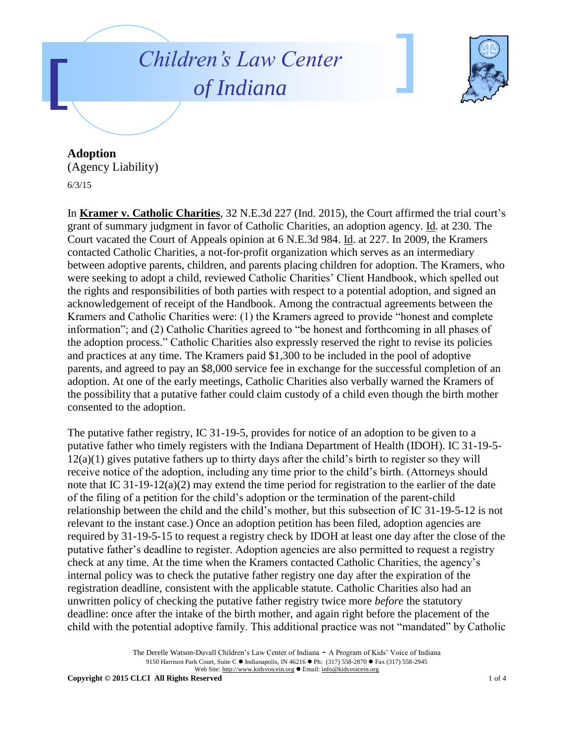## *Children's Law Center of Indiana*



**Adoption** (Agency Liability) 6/3/15

In **Kramer v. Catholic Charities**, 32 N.E.3d 227 (Ind. 2015), the Court affirmed the trial court's grant of summary judgment in favor of Catholic Charities, an adoption agency. Id. at 230. The Court vacated the Court of Appeals opinion at 6 N.E.3d 984. Id. at 227. In 2009, the Kramers contacted Catholic Charities, a not-for-profit organization which serves as an intermediary between adoptive parents, children, and parents placing children for adoption. The Kramers, who were seeking to adopt a child, reviewed Catholic Charities' Client Handbook, which spelled out the rights and responsibilities of both parties with respect to a potential adoption, and signed an acknowledgement of receipt of the Handbook. Among the contractual agreements between the Kramers and Catholic Charities were: (1) the Kramers agreed to provide "honest and complete information"; and (2) Catholic Charities agreed to "be honest and forthcoming in all phases of the adoption process." Catholic Charities also expressly reserved the right to revise its policies and practices at any time. The Kramers paid \$1,300 to be included in the pool of adoptive parents, and agreed to pay an \$8,000 service fee in exchange for the successful completion of an adoption. At one of the early meetings, Catholic Charities also verbally warned the Kramers of the possibility that a putative father could claim custody of a child even though the birth mother consented to the adoption.

The putative father registry, IC 31-19-5, provides for notice of an adoption to be given to a putative father who timely registers with the Indiana Department of Health (IDOH). IC 31-19-5-  $12(a)(1)$  gives putative fathers up to thirty days after the child's birth to register so they will receive notice of the adoption, including any time prior to the child's birth. (Attorneys should note that IC 31-19-12(a)(2) may extend the time period for registration to the earlier of the date of the filing of a petition for the child's adoption or the termination of the parent-child relationship between the child and the child's mother, but this subsection of IC 31-19-5-12 is not relevant to the instant case.) Once an adoption petition has been filed, adoption agencies are required by 31-19-5-15 to request a registry check by IDOH at least one day after the close of the putative father's deadline to register. Adoption agencies are also permitted to request a registry check at any time. At the time when the Kramers contacted Catholic Charities, the agency's internal policy was to check the putative father registry one day after the expiration of the registration deadline, consistent with the applicable statute. Catholic Charities also had an unwritten policy of checking the putative father registry twice more *before* the statutory deadline: once after the intake of the birth mother, and again right before the placement of the child with the potential adoptive family. This additional practice was not "mandated" by Catholic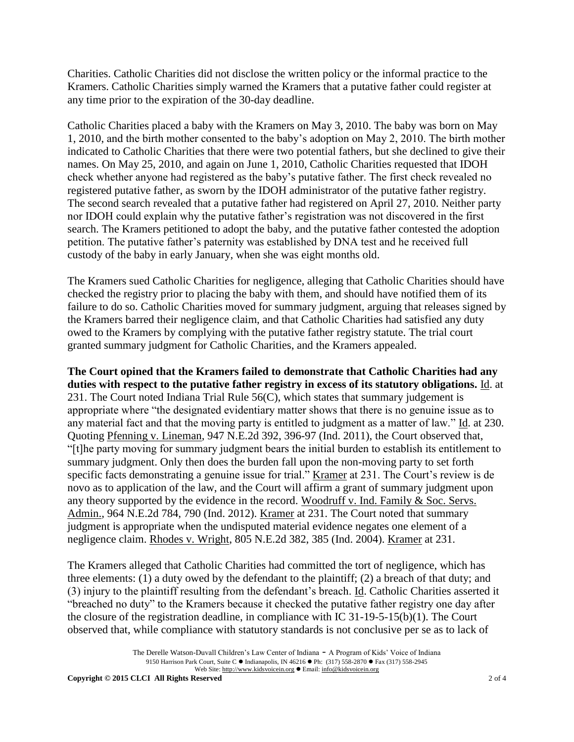Charities. Catholic Charities did not disclose the written policy or the informal practice to the Kramers. Catholic Charities simply warned the Kramers that a putative father could register at any time prior to the expiration of the 30-day deadline.

Catholic Charities placed a baby with the Kramers on May 3, 2010. The baby was born on May 1, 2010, and the birth mother consented to the baby's adoption on May 2, 2010. The birth mother indicated to Catholic Charities that there were two potential fathers, but she declined to give their names. On May 25, 2010, and again on June 1, 2010, Catholic Charities requested that IDOH check whether anyone had registered as the baby's putative father. The first check revealed no registered putative father, as sworn by the IDOH administrator of the putative father registry. The second search revealed that a putative father had registered on April 27, 2010. Neither party nor IDOH could explain why the putative father's registration was not discovered in the first search. The Kramers petitioned to adopt the baby, and the putative father contested the adoption petition. The putative father's paternity was established by DNA test and he received full custody of the baby in early January, when she was eight months old.

The Kramers sued Catholic Charities for negligence, alleging that Catholic Charities should have checked the registry prior to placing the baby with them, and should have notified them of its failure to do so. Catholic Charities moved for summary judgment, arguing that releases signed by the Kramers barred their negligence claim, and that Catholic Charities had satisfied any duty owed to the Kramers by complying with the putative father registry statute. The trial court granted summary judgment for Catholic Charities, and the Kramers appealed.

**The Court opined that the Kramers failed to demonstrate that Catholic Charities had any duties with respect to the putative father registry in excess of its statutory obligations.** Id. at 231. The Court noted Indiana Trial Rule 56(C), which states that summary judgement is appropriate where "the designated evidentiary matter shows that there is no genuine issue as to any material fact and that the moving party is entitled to judgment as a matter of law." Id. at 230. Quoting Pfenning v. Lineman, 947 N.E.2d 392, 396-97 (Ind. 2011), the Court observed that, "[t]he party moving for summary judgment bears the initial burden to establish its entitlement to summary judgment. Only then does the burden fall upon the non-moving party to set forth specific facts demonstrating a genuine issue for trial." Kramer at 231. The Court's review is de novo as to application of the law, and the Court will affirm a grant of summary judgment upon any theory supported by the evidence in the record. Woodruff v. Ind. Family & Soc. Servs. Admin., 964 N.E.2d 784, 790 (Ind. 2012). Kramer at 231. The Court noted that summary judgment is appropriate when the undisputed material evidence negates one element of a negligence claim. Rhodes v. Wright, 805 N.E.2d 382, 385 (Ind. 2004). Kramer at 231.

The Kramers alleged that Catholic Charities had committed the tort of negligence, which has three elements: (1) a duty owed by the defendant to the plaintiff; (2) a breach of that duty; and (3) injury to the plaintiff resulting from the defendant's breach. Id. Catholic Charities asserted it "breached no duty" to the Kramers because it checked the putative father registry one day after the closure of the registration deadline, in compliance with IC 31-19-5-15(b)(1). The Court observed that, while compliance with statutory standards is not conclusive per se as to lack of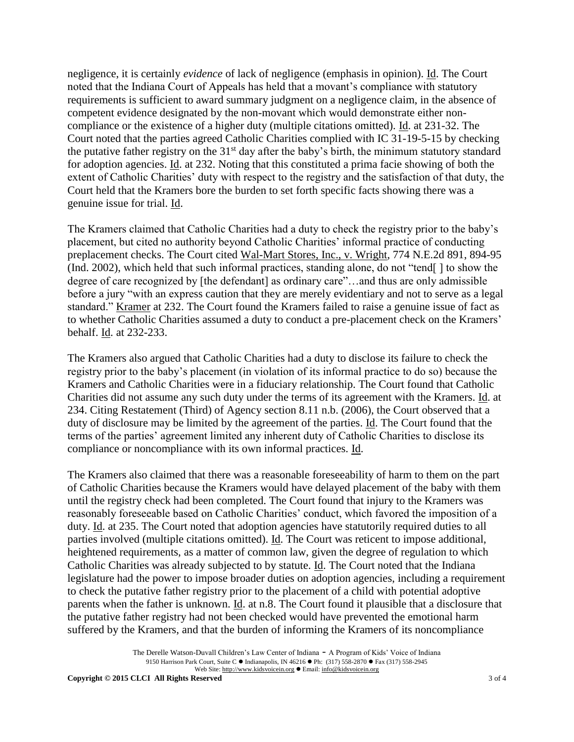negligence, it is certainly *evidence* of lack of negligence (emphasis in opinion). Id. The Court noted that the Indiana Court of Appeals has held that a movant's compliance with statutory requirements is sufficient to award summary judgment on a negligence claim, in the absence of competent evidence designated by the non-movant which would demonstrate either noncompliance or the existence of a higher duty (multiple citations omitted). Id. at 231-32. The Court noted that the parties agreed Catholic Charities complied with IC 31-19-5-15 by checking the putative father registry on the  $31<sup>st</sup>$  day after the baby's birth, the minimum statutory standard for adoption agencies. Id. at 232. Noting that this constituted a prima facie showing of both the extent of Catholic Charities' duty with respect to the registry and the satisfaction of that duty, the Court held that the Kramers bore the burden to set forth specific facts showing there was a genuine issue for trial. Id.

The Kramers claimed that Catholic Charities had a duty to check the registry prior to the baby's placement, but cited no authority beyond Catholic Charities' informal practice of conducting preplacement checks. The Court cited Wal-Mart Stores, Inc., v. Wright, 774 N.E.2d 891, 894-95 (Ind. 2002), which held that such informal practices, standing alone, do not "tend[ ] to show the degree of care recognized by [the defendant] as ordinary care"...and thus are only admissible before a jury "with an express caution that they are merely evidentiary and not to serve as a legal standard." Kramer at 232. The Court found the Kramers failed to raise a genuine issue of fact as to whether Catholic Charities assumed a duty to conduct a pre-placement check on the Kramers' behalf. Id. at 232-233.

The Kramers also argued that Catholic Charities had a duty to disclose its failure to check the registry prior to the baby's placement (in violation of its informal practice to do so) because the Kramers and Catholic Charities were in a fiduciary relationship. The Court found that Catholic Charities did not assume any such duty under the terms of its agreement with the Kramers. Id. at 234. Citing Restatement (Third) of Agency section 8.11 n.b. (2006), the Court observed that a duty of disclosure may be limited by the agreement of the parties. Id. The Court found that the terms of the parties' agreement limited any inherent duty of Catholic Charities to disclose its compliance or noncompliance with its own informal practices. Id.

The Kramers also claimed that there was a reasonable foreseeability of harm to them on the part of Catholic Charities because the Kramers would have delayed placement of the baby with them until the registry check had been completed. The Court found that injury to the Kramers was reasonably foreseeable based on Catholic Charities' conduct, which favored the imposition of a duty. Id. at 235. The Court noted that adoption agencies have statutorily required duties to all parties involved (multiple citations omitted). Id. The Court was reticent to impose additional, heightened requirements, as a matter of common law, given the degree of regulation to which Catholic Charities was already subjected to by statute. Id. The Court noted that the Indiana legislature had the power to impose broader duties on adoption agencies, including a requirement to check the putative father registry prior to the placement of a child with potential adoptive parents when the father is unknown. Id. at n.8. The Court found it plausible that a disclosure that the putative father registry had not been checked would have prevented the emotional harm suffered by the Kramers, and that the burden of informing the Kramers of its noncompliance